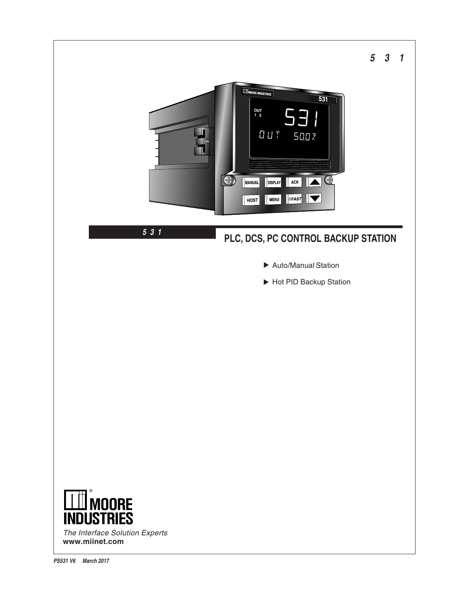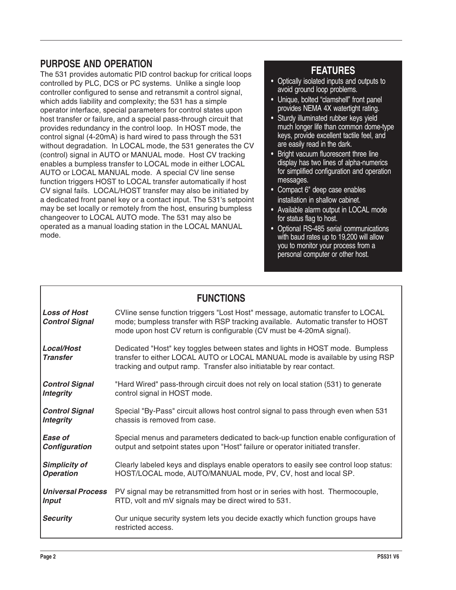## **PURPOSE AND OPERATION**

The 531 provides automatic PID control backup for critical loops controlled by PLC, DCS or PC systems. Unlike a single loop controller configured to sense and retransmit a control signal, which adds liability and complexity; the 531 has a simple operator interface, special parameters for control states upon host transfer or failure, and a special pass-through circuit that provides redundancy in the control loop. In HOST mode, the control signal (4-20mA) is hard wired to pass through the 531 without degradation. In LOCAL mode, the 531 generates the CV (control) signal in AUTO or MANUAL mode. Host CV tracking enables a bumpless transfer to LOCAL mode in either LOCAL AUTO or LOCAL MANUAL mode. A special CV line sense function triggers HOST to LOCAL transfer automatically if host CV signal fails. LOCAL/HOST transfer may also be initiated by a dedicated front panel key or a contact input. The 531's setpoint may be set locally or remotely from the host, ensuring bumpless changeover to LOCAL AUTO mode. The 531 may also be operated as a manual loading station in the LOCAL MANUAL mode.

# **FEATURES**

- Optically isolated inputs and outputs to avoid ground loop problems.
- Unique, bolted "clamshell" front panel provides NEMA 4X watertight rating.
- Sturdy illuminated rubber keys yield much longer life than common dome-type keys, provide excellent tactile feel, and are easily read in the dark.
- Bright vacuum fluorescent three line display has two lines of alpha-numerics for simplified configuration and operation messages.
- Compact 6" deep case enables installation in shallow cabinet.
- Available alarm output in LOCAL mode for status flag to host.
- Optional RS-485 serial communications with baud rates up to 19,200 will allow you to monitor your process from a personal computer or other host.

| <b>FUNCTIONS</b>                             |                                                                                                                                                                                                                                            |  |  |  |
|----------------------------------------------|--------------------------------------------------------------------------------------------------------------------------------------------------------------------------------------------------------------------------------------------|--|--|--|
| <b>Loss of Host</b><br><b>Control Signal</b> | CVIine sense function triggers "Lost Host" message, automatic transfer to LOCAL<br>mode; bumpless transfer with RSP tracking available. Automatic transfer to HOST<br>mode upon host CV return is configurable (CV must be 4-20mA signal). |  |  |  |
| Local/Host<br><b>Transfer</b>                | Dedicated "Host" key toggles between states and lights in HOST mode. Bumpless<br>transfer to either LOCAL AUTO or LOCAL MANUAL mode is available by using RSP<br>tracking and output ramp. Transfer also initiatable by rear contact.      |  |  |  |
| <b>Control Signal</b>                        | "Hard Wired" pass-through circuit does not rely on local station (531) to generate                                                                                                                                                         |  |  |  |
| <b>Integrity</b>                             | control signal in HOST mode.                                                                                                                                                                                                               |  |  |  |
| <b>Control Signal</b>                        | Special "By-Pass" circuit allows host control signal to pass through even when 531                                                                                                                                                         |  |  |  |
| <b>Integrity</b>                             | chassis is removed from case.                                                                                                                                                                                                              |  |  |  |
| Ease of                                      | Special menus and parameters dedicated to back-up function enable configuration of                                                                                                                                                         |  |  |  |
| Configuration                                | output and setpoint states upon "Host" failure or operator initiated transfer.                                                                                                                                                             |  |  |  |
| <b>Simplicity of</b>                         | Clearly labeled keys and displays enable operators to easily see control loop status:                                                                                                                                                      |  |  |  |
| <b>Operation</b>                             | HOST/LOCAL mode, AUTO/MANUAL mode, PV, CV, host and local SP.                                                                                                                                                                              |  |  |  |
| <b>Universal Process</b>                     | PV signal may be retransmitted from host or in series with host. Thermocouple,                                                                                                                                                             |  |  |  |
| <b>Input</b>                                 | RTD, volt and mV signals may be direct wired to 531.                                                                                                                                                                                       |  |  |  |
| <b>Security</b>                              | Our unique security system lets you decide exactly which function groups have<br>restricted access.                                                                                                                                        |  |  |  |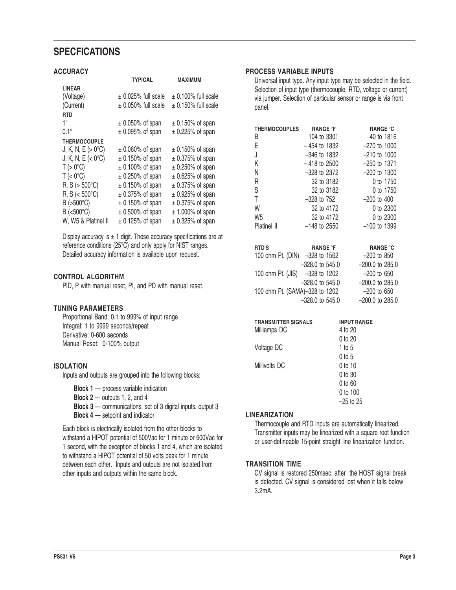# **SPECFICATIONS**

#### **ACCURACY**

|                             | <b>TYPICAL</b>          | <b>MAXIMUM</b>          |
|-----------------------------|-------------------------|-------------------------|
| <b>LINEAR</b>               |                         |                         |
| (Voltage)                   | $\pm$ 0.025% full scale | $\pm$ 0.100% full scale |
| (Current)                   | $\pm$ 0.050% full scale | $\pm$ 0.150% full scale |
| <b>RTD</b>                  |                         |                         |
| 1°                          | $\pm$ 0.050% of span    | $\pm$ 0.150% of span    |
| $0.1^\circ$                 | $\pm$ 0.095% of span    | $\pm$ 0.225% of span    |
| <b>THERMOCOUPLE</b>         |                         |                         |
| $J, K, N, E (> 0^{\circ}C)$ | $\pm$ 0.060% of span    | $\pm$ 0.150% of span    |
| J, K, N, E $(< 0^{\circ}C)$ | $\pm$ 0.150% of span    | $\pm$ 0.375% of span    |
| $T > 0$ °C)                 | $\pm$ 0.100% of span    | $\pm$ 0.250% of span    |
| $T \approx 0^{\circ}C$      | $\pm$ 0.250% of span    | $\pm$ 0.625% of span    |
| $R, S (> 500^{\circ}C)$     | $\pm$ 0.150% of span    | $\pm$ 0.375% of span    |
| $R, S (< 500^{\circ}C)$     | $\pm$ 0.375% of span    | $\pm$ 0.925% of span    |
| $B$ (>500 $^{\circ}$ C)     | $\pm$ 0.150% of span    | $\pm$ 0.375% of span    |
| $B$ (<500 $^{\circ}$ C)     | $\pm$ 0.500% of span    | $±$ 1.000% of span      |
| W, W5 & Platinel II         | $\pm$ 0.125% of span    | $\pm$ 0.325% of span    |

Display accuracy is  $\pm$  1 digit. These accuracy specifications are at reference conditions (25°C) and only apply for NIST ranges. Detailed accuracy information is available upon request.

### **CONTROL ALGORITHM**

PID, P with manual reset, PI, and PD with manual reset.

## **TUNING PARAMETERS**

Proportional Band: 0.1 to 999% of input range Integral: 1 to 9999 seconds/repeat Derivative: 0-600 seconds Manual Reset: 0-100% output

## **ISOLATION**

Inputs and outputs are grouped into the following blocks:

**Block 1** — process variable indication

- **Block 2** outputs 1, 2, and 4
- **Block 3** communications, set of 3 digital inputs, output 3

**Block 4** — setpoint and indicator

Each block is electrically isolated from the other blocks to withstand a HIPOT potential of 500Vac for 1 minute or 600Vac for 1 second, with the exception of blocks 1 and 4, which are isolated to withstand a HIPOT potential of 50 volts peak for 1 minute between each other. Inputs and outputs are not isolated from other inputs and outputs within the same block.

## **PROCESS VARIABLE INPUTS**

Universal input type. Any input type may be selected in the field. Selection of input type (thermocouple, RTD, voltage or current) via jumper. Selection of particular sensor or range is via front panel.

| <b>THERMOCOUPLES</b> | <b>RANGE °F</b> | <b>RANGE °C</b>  |
|----------------------|-----------------|------------------|
| В                    | 104 to 3301     | 40 to 1816       |
| E                    | $-454$ to 1832  | $-270$ to 1000   |
| J                    | $-346$ to 1832  | $-210$ to $1000$ |
| Κ                    | $-418$ to 2500  | $-250$ to 1371   |
| Ν                    | $-328$ to 2372  | $-200$ to 1300   |
| R                    | 32 to 3182      | 0 to 1750        |
| S                    | 32 to 3182      | 0 to 1750        |
| Τ                    | $-328$ to 752   | $-200$ to 400    |
| W                    | 32 to 4172      | 0 to 2300        |
| W5                   | 32 to 4172      | 0 to 2300        |
| Platinel II          | $-148$ to 2550  | –100 to 1399     |

| <b>RTD'S</b>                   | <b>RANGE °F</b>   | <b>RANGE °C</b>   |
|--------------------------------|-------------------|-------------------|
| 100 ohm Pt. (DIN) -328 to 1562 |                   | $-200$ to 850     |
|                                | $-328.0$ to 545.0 | $-200.0$ to 285.0 |
| 100 ohm Pt. (JIS) -328 to 1202 |                   | $-200$ to 650     |
|                                | $-328.0$ to 545.0 | $-200.0$ to 285.0 |
| 100 ohm Pt. (SAMA)-328 to 1202 |                   | $-200$ to 650     |
|                                | $-328.0$ to 545.0 | $-200.0$ to 285.0 |

| <b>TRANSMITTER SIGNALS</b><br>Milliamps DC | <b>INPUT RANGE</b><br>4 to 20 |
|--------------------------------------------|-------------------------------|
| Voltage DC                                 | $0$ to $20$<br>1 to $5$       |
| Millivolts DC                              | 0 to 5<br>$0$ to 10           |
|                                            | 0 to 30                       |
|                                            | 0 to 60<br>0 to 100           |
|                                            | $-25$ to 25                   |

#### **LINEARIZATION**

Thermocouple and RTD inputs are automatically linearized. Transmitter inputs may be linearized with a square root function or user-defineable 15-point straight line linearization function.

## **TRANSITION TIME**

CV signal is restored 250msec. after the HOST signal break is detected. CV signal is considered lost when it falls below 3.2mA.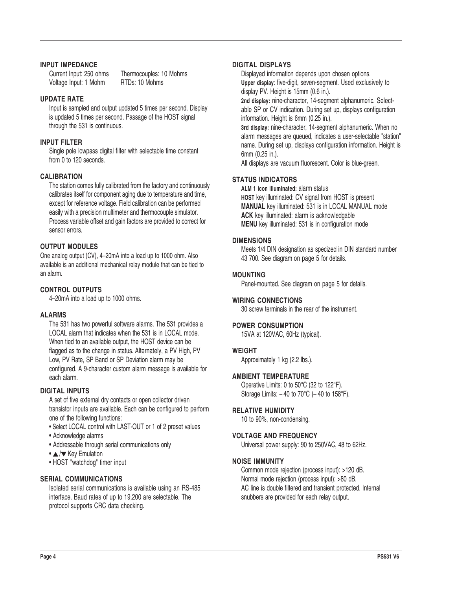#### **INPUT IMPEDANCE**

Voltage Input: 1 Mohm RTDs: 10 Mohms

Current Input: 250 ohms Thermocouples: 10 Mohms

## **UPDATE RATE**

Input is sampled and output updated 5 times per second. Display is updated 5 times per second. Passage of the HOST signal through the 531 is continuous.

#### **INPUT FILTER**

Single pole lowpass digital filter with selectable time constant from 0 to 120 seconds.

#### **CALIBRATION**

The station comes fully calibrated from the factory and continuously calibrates itself for component aging due to temperature and time, except for reference voltage. Field calibration can be performed easily with a precision multimeter and thermocouple simulator. Process variable offset and gain factors are provided to correct for sensor errors.

## **OUTPUT MODULES**

One analog output (CV), 4–20mA into a load up to 1000 ohm. Also available is an additional mechanical relay module that can be tied to an alarm.

## **CONTROL OUTPUTS**

4–20mA into a load up to 1000 ohms.

#### **ALARMS**

The 531 has two powerful software alarms. The 531 provides a LOCAL alarm that indicates when the 531 is in LOCAL mode. When tied to an available output, the HOST device can be flagged as to the change in status. Alternately, a PV High, PV Low, PV Rate, SP Band or SP Deviation alarm may be configured. A 9-character custom alarm message is available for each alarm.

## **DIGITAL INPUTS**

A set of five external dry contacts or open collector driven transistor inputs are available. Each can be configured to perform one of the following functions:

- Select LOCAL control with LAST-OUT or 1 of 2 preset values
- Acknowledge alarms
- Addressable through serial communications only
- $\cdot \triangle / \triangledown$  Key Emulation
- HOST "watchdog" timer input

#### **SERIAL COMMUNICATIONS**

Isolated serial communications is available using an RS-485 interface. Baud rates of up to 19,200 are selectable. The protocol supports CRC data checking.

#### **DIGITAL DISPLAYS**

Displayed information depends upon chosen options. **Upper display**: five-digit, seven-segment. Used exclusively to display PV. Height is 15mm (0.6 in.).

**2nd display:** nine-character, 14-segment alphanumeric. Selectable SP or CV indication. During set up, displays configuration information. Height is 6mm (0.25 in.).

**3rd display:** nine-character, 14-segment alphanumeric. When no alarm messages are queued, indicates a user-selectable "station" name. During set up, displays configuration information. Height is 6mm (0.25 in.).

All displays are vacuum fluorescent. Color is blue-green.

#### **STATUS INDICATORS**

**ALM 1 icon illuminated:** alarm status **HOST** key illuminated: CV signal from HOST is present **MANUAL** key illuminated: 531 is in LOCAL MANUAL mode **ACK** key illuminated: alarm is acknowledgable **MENU** key illuminated: 531 is in configuration mode

#### **DIMENSIONS**

Meets 1/4 DIN designation as specized in DIN standard number 43 700. See diagram on page 5 for details.

#### **MOUNTING**

Panel-mounted. See diagram on page 5 for details.

## **WIRING CONNECTIONS**

30 screw terminals in the rear of the instrument.

## **POWER CONSUMPTION**

15VA at 120VAC, 60Hz (typical).

#### **WEIGHT**

Approximately 1 kg (2.2 lbs.).

#### **AMBIENT TEMPERATURE**

Operative Limits: 0 to 50°C (32 to 122°F). Storage Limits:  $-40$  to  $70^{\circ}$ C ( $-40$  to  $158^{\circ}$ F).

#### **RELATIVE HUMIDITY**

10 to 90%, non-condensing.

#### **VOLTAGE AND FREQUENCY**

Universal power supply: 90 to 250VAC, 48 to 62Hz.

### **NOISE IMMUNITY**

Common mode rejection (process input): >120 dB. Normal mode rejection (process input): >80 dB. AC line is double filtered and transient protected. Internal snubbers are provided for each relay output.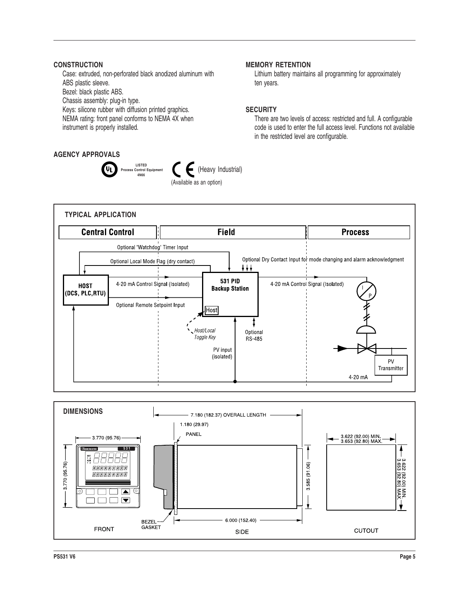### **CONSTRUCTION**

Case: extruded, non-perforated black anodized aluminum with ABS plastic sleeve.

Bezel: black plastic ABS.

Chassis assembly: plug-in type.

Keys: silicone rubber with diffusion printed graphics.

NEMA rating: front panel conforms to NEMA 4X when instrument is properly installed.

## **AGENCY APPROVALS**



#### **MEMORY RETENTION**

Lithium battery maintains all programming for approximately ten years.

#### **SECURITY**

There are two levels of access: restricted and full. A configurable code is used to enter the full access level. Functions not available in the restricted level are configurable.



**F** (Heavy Industrial)

(Available as an option)